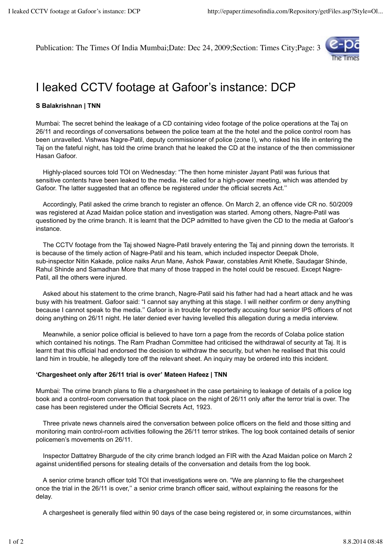Publication: The Times Of India Mumbai;Date: Dec 24, 2009;Section: Times City;Page: 3



## I leaked CCTV footage at Gafoor's instance: DCP

## **S Balakrishnan | TNN**

Mumbai: The secret behind the leakage of a CD containing video footage of the police operations at the Taj on 26/11 and recordings of conversations between the police team at the the hotel and the police control room has been unravelled. Vishwas Nagre-Patil, deputy commissioner of police (zone I), who risked his life in entering the Taj on the fateful night, has told the crime branch that he leaked the CD at the instance of the then commissioner Hasan Gafoor.

 Highly-placed sources told TOI on Wednesday: "The then home minister Jayant Patil was furious that sensitive contents have been leaked to the media. He called for a high-power meeting, which was attended by Gafoor. The latter suggested that an offence be registered under the official secrets Act.''

 Accordingly, Patil asked the crime branch to register an offence. On March 2, an offence vide CR no. 50/2009 was registered at Azad Maidan police station and investigation was started. Among others, Nagre-Patil was questioned by the crime branch. It is learnt that the DCP admitted to have given the CD to the media at Gafoor's instance.

 The CCTV footage from the Taj showed Nagre-Patil bravely entering the Taj and pinning down the terrorists. It is because of the timely action of Nagre-Patil and his team, which included inspector Deepak Dhole, sub-inspector Nitin Kakade, police naiks Arun Mane, Ashok Pawar, constables Amit Khetle, Saudagar Shinde, Rahul Shinde and Samadhan More that many of those trapped in the hotel could be rescued. Except Nagre-Patil, all the others were injured.

 Asked about his statement to the crime branch, Nagre-Patil said his father had had a heart attack and he was busy with his treatment. Gafoor said: "I cannot say anything at this stage. I will neither confirm or deny anything because I cannot speak to the media.'' Gafoor is in trouble for reportedly accusing four senior IPS officers of not doing anything on 26/11 night. He later denied ever having levelled this allegation during a media interview.

 Meanwhile, a senior police official is believed to have torn a page from the records of Colaba police station which contained his notings. The Ram Pradhan Committee had criticised the withdrawal of security at Taj. It is learnt that this official had endorsed the decision to withdraw the security, but when he realised that this could land him in trouble, he allegedly tore off the relevant sheet. An inquiry may be ordered into this incident.

## **'Chargesheet only after 26/11 trial is over' Mateen Hafeez | TNN**

Mumbai: The crime branch plans to file a chargesheet in the case pertaining to leakage of details of a police log book and a control-room conversation that took place on the night of 26/11 only after the terror trial is over. The case has been registered under the Official Secrets Act, 1923.

 Three private news channels aired the conversation between police officers on the field and those sitting and monitoring main control-room activities following the 26/11 terror strikes. The log book contained details of senior policemen's movements on 26/11.

 Inspector Dattatrey Bhargude of the city crime branch lodged an FIR with the Azad Maidan police on March 2 against unidentified persons for stealing details of the conversation and details from the log book.

 A senior crime branch officer told TOI that investigations were on. "We are planning to file the chargesheet once the trial in the 26/11 is over,'' a senior crime branch officer said, without explaining the reasons for the delay.

A chargesheet is generally filed within 90 days of the case being registered or, in some circumstances, within